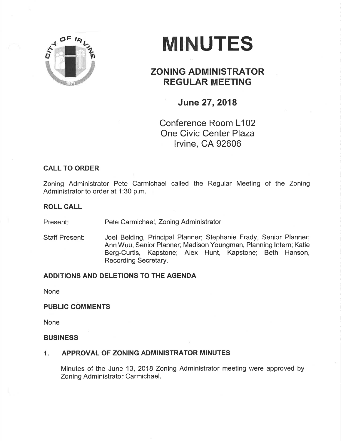

# **MINUTES**

# ZONING ADMINISTRATOR REGULAR MEETING

# June 27,2018

Conference Room L102 One Civic Center Plaza lrvine, CA 92606

## CALL TO ORDER

Zoning Administrator Pete Carmichael called the Regular Meeting of the Zoning Administrator to order at 1:30 p.m.

#### ROLL CALL

Present: Pete Carmichael, Zoning Administrator

Staff Present: Joel Belding, Principal Planner; Stephanie Frady, Senior Planner; Ann Wuu, Senior Planner; Madison Youngman, Planning lntern; Katie Berg-Curtis, Kapstone; Alex Hunt, Kapstone; Beth Hanson, Recording Secretary.

## ADDITIONS AND DELETIONS TO THE AGENDA

None

#### PUBLIC COMMENTS

None

#### **BUSINESS**

## 1. APPROVAL OF ZONING ADMINISTRATOR MINUTES

Minutes of the June 13, 2018 Zoning Administrator meeting were approved by Zoning Administrator Carmichael.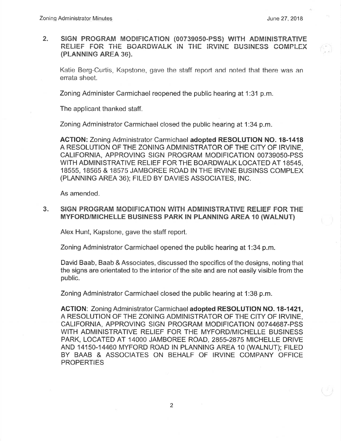$2.$ SIGN PROGRAM MODIFICATION (00739050-PSS) WITH ADMINISTRATIVE RELIEF FOR THE BOARDWALK IN THE IRVINE BUSINESS COMPLEX (PLANNING AREA 36).

Katie Berg-Curtis, Kapstone, gave the staff report and noted that there was an errata sheet.

Zoning Administer Carmichael reopened the public hearing at 1:31 p.m.

The applicant thanked staff.

Zoning Administrator Carmichael closed the public hearing at 1:34 p.m.

ACTION: Zoning Administrator Carmichael adopted RESOLUTION NO. 18-1418 A RESOLUTION OF THE ZONING ADMINISTRATOR OF THE CITY OF IRVINE, CALIFORNIA, APPROVING SIGN PROGRAM MODIFICATION 00739050-PSS WITH ADMINISTRATIVE RELIEF FOR THE BOARDWALK LOCATED AT 18545, 18555, 18565 & 18575 JAMBORËE ROAD IN THE IRVINE BUSINSS COMPLEX (PLANNING AREA 36); FILED BY DAVIES ASSOCIATES, INC.

As amended.

#### 3. SIGN PROGRAM MODIFICATION WITH ADMINISTRATIVE RELIEF FOR THE MYFORD/MICHELLE BUSINESS PARK IN PLANNING AREA 10 (WALNUT)

Alex Hunt, Kapstone, gave the staff report.

Zoning Administrator Carmichael opened the public hearing at 1:34 p.m.

David Baab, Baab & Associates, discussed the spccifics of the designs, noting that the signs are orientated to the interior of the site and are not easily visible from the public.

Zoning Administrator Carmichaei closed the public hearing at 1:38 p.m.

ACTION: Zoning Administrator Carmichael adopted RESOLUTION NO. 18-1421, A RESOLUTION OF THE ZONING ADMINISTRATOR OF THE CITY OF IRVINE, CALIFORNIA, APPROVING SIGN PROGRAM MODIFICATION 00744687-PSS WITH ADMINISTRATIVE RELIEF FOR THE MYFORD/MICHELLE BUSINESS PARK, LOCATED AT 14OOO JAMBOREE ROAD, 2855-2875 MICHELLE DRIVE AND 14150-14460 MYFORD ROAD lN PLANNING AREA 10 (WALNUT); FILED BY BAAB & ASSOCIATES ON BEHALF OF IRVINE COMPANY OFFICË **PROPERTIES**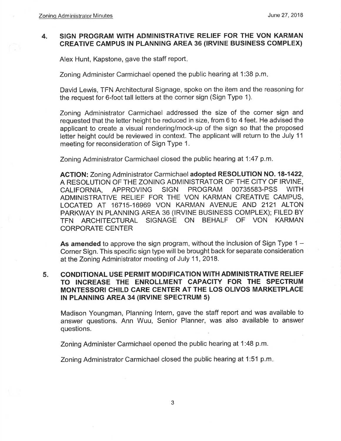#### SIGN PROGRAM WITH ADMINISTRATIVE RELIEF FOR THE VON KARMAN CREATIVE CAMPUS IN PLANNING AREA 36 (IRVINE BUSINESS COMPLEX) 4.

Alex Hunt, Kapstone, gave the staff report

Zoning Administer Carmichael opened the public hearing at 1:38 p.m

David Lewis, TFN Architectural Signage, spoke on the item and the reasoning for the request for 6-foot tall letters at the corner sign (Sign Type 1).

Zoning Administrator Carmichael addressed the size of the corner sign and requested that the letter height be reduced in size, from 6 to 4 feet. He advised the applicant to create a visual rendering/mock-up of the sign so that the proposed letter height could be reviewed in context. The applicant will return to the July <sup>11</sup> meeting for reconsideration of Sign Type 1.

Zoning Administrator Carmichael closed the public hearing at 1:47 p.m.

ACTION: Zoning Administrator Carmichael adopted RESOLUTION NO. 18-1422, A RESOLUTION OF THE ZONING ADMINISTRATOR OF THE CITY OF IRVINE,<br>CALIFORNIA, APPROVING SIGN PROGRAM 00735583-PSS WITH CALIFORNIA, APPROVING SIGN PROGRAM 00735583-PSS WITH ADMINISTRATIVE RELIEF FOR THE VON KARMAN CREATIVE CAMPUS, LOCATED AT 16715-16969 VON KARMAN AVENUE AND 2121 ALTON PARKWAY lN PLANNING AREA 36 (lRVlNE BUSINESS COMPLEX); FILED BY TFN ARCHITECTURAL SIGNAGE ON BEHALF OF VON KARMAN CORPORATE CENTER

As amended to approve the sign program, without the inclusion of Sign Type  $1 -$ Corner Sign. This specific sign type will be brought back for separate consideration at the Zoning Administrator meeting of July 11,2018.

#### CONDITIONAL USE PERMIT MODIFICATION WITH ADMINISTRATIVE RELIEF TO INCREASE THE ENROLLMENT CAPACITY FOR THE SPECTRUM MONTESSORI CHILD CARE CENTER AT THE LOS OLIVOS MARKETPLACE IN PLANNING AREA 34 (IRVINE SPECTRUM 5) 5.

Madison Youngman, Planning lntern, gave the staff report and was available to answer questions. Ann Wuu, Senior Planner, was also available to answer questions

Zoning Administer Carmichael opened the public hearing at 1:48 p.m.

Zoning Administrator Carmichael closed the public hearing at 1:51 p.m